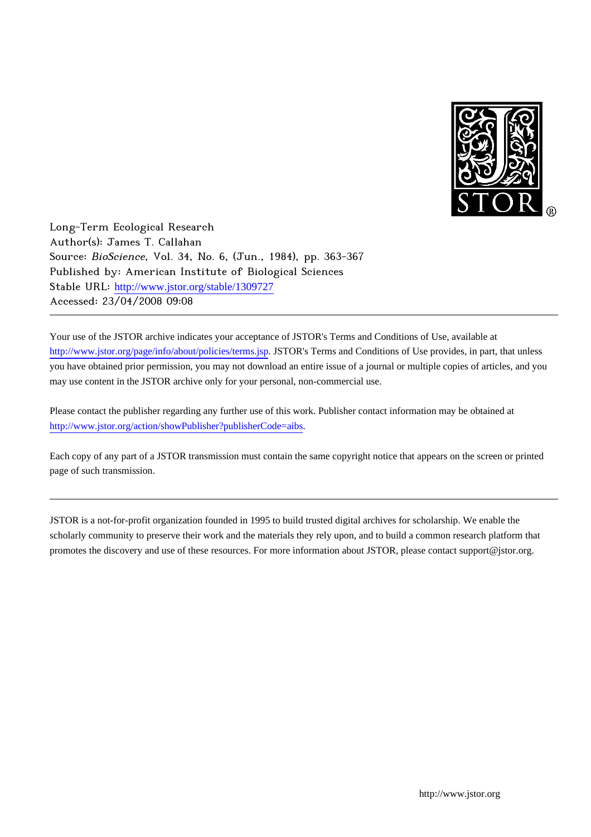

Long-Term Ecological Research Author(s): James T. Callahan Source: BioScience, Vol. 34, No. 6, (Jun., 1984), pp. 363-367 Published by: American Institute of Biological Sciences Stable URL: [http://www.jstor.org/stable/1309727](http://www.jstor.org/stable/1309727?origin=JSTOR-pdf) Accessed: 23/04/2008 09:08

Your use of the JSTOR archive indicates your acceptance of JSTOR's Terms and Conditions of Use, available at <http://www.jstor.org/page/info/about/policies/terms.jsp>. JSTOR's Terms and Conditions of Use provides, in part, that unless you have obtained prior permission, you may not download an entire issue of a journal or multiple copies of articles, and you may use content in the JSTOR archive only for your personal, non-commercial use.

Please contact the publisher regarding any further use of this work. Publisher contact information may be obtained at <http://www.jstor.org/action/showPublisher?publisherCode=aibs>.

Each copy of any part of a JSTOR transmission must contain the same copyright notice that appears on the screen or printed page of such transmission.

JSTOR is a not-for-profit organization founded in 1995 to build trusted digital archives for scholarship. We enable the scholarly community to preserve their work and the materials they rely upon, and to build a common research platform that promotes the discovery and use of these resources. For more information about JSTOR, please contact support@jstor.org.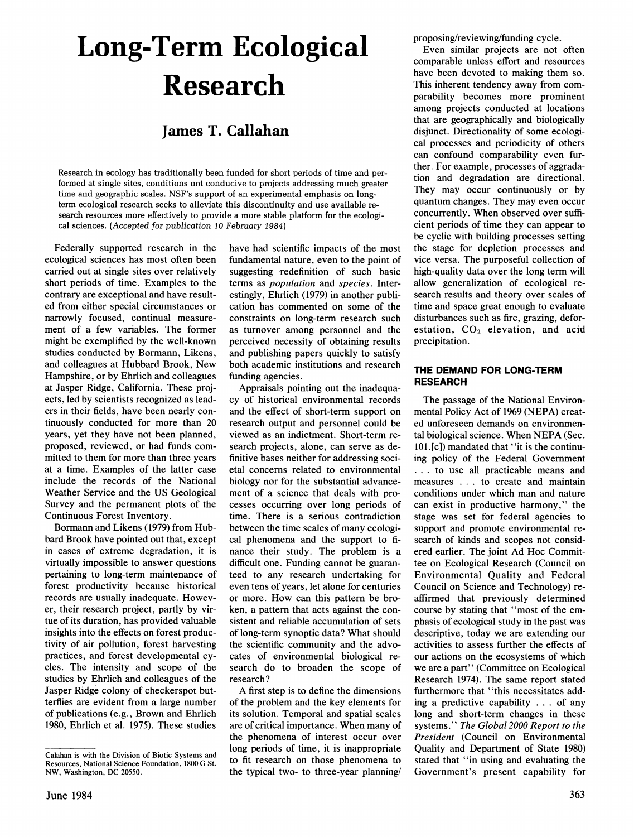# **Long-Term Ecological Research**

# **James T. Callahan**

**Research in ecology has traditionally been funded for short periods of time and performed at single sites, conditions not conducive to projects addressing much greater time and geographic scales. NSF's support of an experimental emphasis on longterm ecological research seeks to alleviate this discontinuity and use available research resources more effectively to provide a more stable platform for the ecological sciences. (Accepted for publication 10 February 1984)** 

**Federally supported research in the ecological sciences has most often been carried out at single sites over relatively short periods of time. Examples to the contrary are exceptional and have resulted from either special circumstances or narrowly focused, continual measurement of a few variables. The former might be exemplified by the well-known studies conducted by Bormann, Likens, and colleagues at Hubbard Brook, New Hampshire, or by Ehrlich and colleagues at Jasper Ridge, California. These projects, led by scientists recognized as leaders in their fields, have been nearly continuously conducted for more than 20 years, yet they have not been planned, proposed, reviewed, or had funds committed to them for more than three years at a time. Examples of the latter case include the records of the National Weather Service and the US Geological Survey and the permanent plots of the Continuous Forest Inventory.** 

**Bormann and Likens (1979) from Hubbard Brook have pointed out that, except in cases of extreme degradation, it is virtually impossible to answer questions pertaining to long-term maintenance of forest productivity because historical records are usually inadequate. However, their research project, partly by virtue of its duration, has provided valuable insights into the effects on forest productivity of air pollution, forest harvesting practices, and forest developmental cycles. The intensity and scope of the studies by Ehrlich and colleagues of the Jasper Ridge colony of checkerspot butterflies are evident from a large number of publications (e.g., Brown and Ehrlich 1980, Ehrlich et al. 1975). These studies** 

**have had scientific impacts of the most fundamental nature, even to the point of suggesting redefinition of such basic terms as population and species. Interestingly, Ehrlich (1979) in another publication has commented on some of the constraints on long-term research such as turnover among personnel and the perceived necessity of obtaining results and publishing papers quickly to satisfy both academic institutions and research funding agencies.** 

**Appraisals pointing out the inadequacy of historical environmental records and the effect of short-term support on research output and personnel could be viewed as an indictment. Short-term research projects, alone, can serve as definitive bases neither for addressing societal concerns related to environmental biology nor for the substantial advancement of a science that deals with processes occurring over long periods of time. There is a serious contradiction between the time scales of many ecological phenomena and the support to finance their study. The problem is a difficult one. Funding cannot be guaranteed to any research undertaking for even tens of years, let alone for centuries or more. How can this pattern be broken, a pattern that acts against the consistent and reliable accumulation of sets of long-term synoptic data? What should the scientific community and the advocates of environmental biological research do to broaden the scope of research?** 

**A first step is to define the dimensions of the problem and the key elements for its solution. Temporal and spatial scales are of critical importance. When many of the phenomena of interest occur over long periods of time, it is inappropriate to fit research on those phenomena to the typical two- to three-year planning/**  **proposing/reviewing/funding cycle.** 

**Even similar projects are not often comparable unless effort and resources have been devoted to making them so. This inherent tendency away from comparability becomes more prominent among projects conducted at locations that are geographically and biologically disjunct. Directionality of some ecological processes and periodicity of others can confound comparability even further. For example, processes of aggradation and degradation are directional. They may occur continuously or by quantum changes. They may even occur concurrently. When observed over sufficient periods of time they can appear to be cyclic with building processes setting the stage for depletion processes and vice versa. The purposeful collection of high-quality data over the long term will allow generalization of ecological research results and theory over scales of time and space great enough to evaluate disturbances such as fire, grazing, defor**estation, CO<sub>2</sub> elevation, and acid **precipitation.** 

#### **THE DEMAND FOR LONG-TERM RESEARCH**

**The passage of the National Environmental Policy Act of 1969 (NEPA) created unforeseen demands on environmental biological science. When NEPA (Sec. 101.[c]) mandated that "it is the continuing policy of the Federal Government ... to use all practicable means and measures . . . to create and maintain conditions under which man and nature can exist in productive harmony," the stage was set for federal agencies to support and promote environmental research of kinds and scopes not considered earlier. The joint Ad Hoc Committee on Ecological Research (Council on Environmental Quality and Federal Council on Science and Technology) reaffirmed that previously determined course by stating that "most of the emphasis of ecological study in the past was descriptive, today we are extending our activities to assess further the effects of our actions on the ecosystems of which we are a part" (Committee on Ecological Research 1974). The same report stated furthermore that "this necessitates adding a predictive capability . . . of any long and short-term changes in these systems." The Global 2000 Report to the President (Council on Environmental Quality and Department of State 1980) stated that "in using and evaluating the Government's present capability for** 

**Calahan is with the Division of Biotic Systems and Resources, National Science Foundation, 1800 G St. NW, Washington, DC 20550.**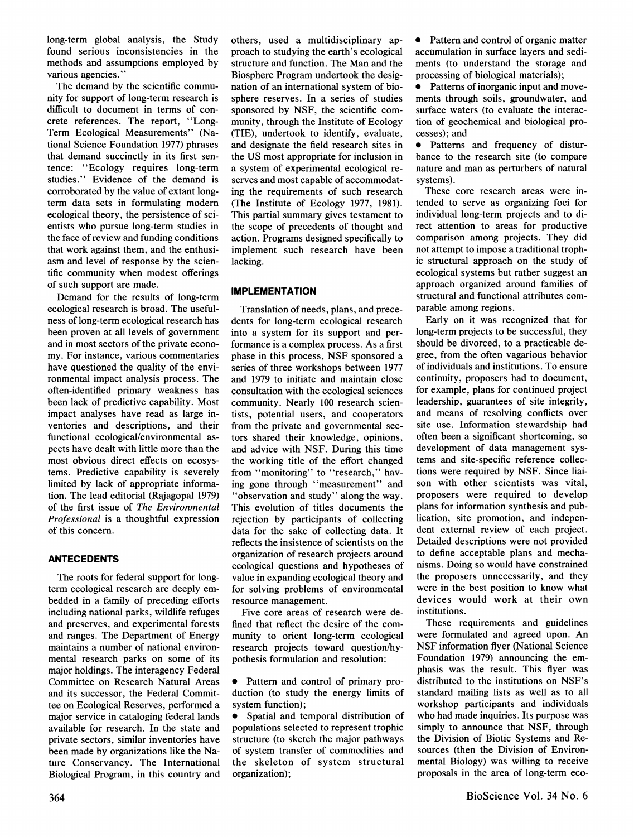**long-term global analysis, the Study found serious inconsistencies in the methods and assumptions employed by various agencies."** 

**The demand by the scientific community for support of long-term research is difficult to document in terms of concrete references. The report, "Long-Term Ecological Measurements" (National Science Foundation 1977) phrases that demand succinctly in its first sentence: "Ecology requires long-term studies." Evidence of the demand is corroborated by the value of extant longterm data sets in formulating modern ecological theory, the persistence of scientists who pursue long-term studies in the face of review and funding conditions that work against them, and the enthusiasm and level of response by the scientific community when modest offerings of such support are made.** 

**Demand for the results of long-term ecological research is broad. The usefulness of long-term ecological research has been proven at all levels of government and in most sectors of the private economy. For instance, various commentaries have questioned the quality of the environmental impact analysis process. The often-identified primary weakness has been lack of predictive capability. Most impact analyses have read as large inventories and descriptions, and their functional ecological/environmental aspects have dealt with little more than the most obvious direct effects on ecosystems. Predictive capability is severely limited by lack of appropriate information. The lead editorial (Rajagopal 1979) of the first issue of The Environmental Professional is a thoughtful expression of this concern.** 

# **ANTECEDENTS**

**The roots for federal support for longterm ecological research are deeply embedded in a family of preceding efforts including national parks, wildlife refuges and preserves, and experimental forests and ranges. The Department of Energy maintains a number of national environmental research parks on some of its major holdings. The interagency Federal Committee on Research Natural Areas and its successor, the Federal Committee on Ecological Reserves, performed a major service in cataloging federal lands available for research. In the state and private sectors, similar inventories have been made by organizations like the Nature Conservancy. The International Biological Program, in this country and** 

**others, used a multidisciplinary approach to studying the earth's ecological structure and function. The Man and the Biosphere Program undertook the designation of an international system of biosphere reserves. In a series of studies sponsored by NSF, the scientific community, through the Institute of Ecology (TIE), undertook to identify, evaluate, and designate the field research sites in the US most appropriate for inclusion in a system of experimental ecological reserves and most capable of accommodating the requirements of such research (The Institute of Ecology 1977, 1981). This partial summary gives testament to the scope of precedents of thought and action. Programs designed specifically to implement such research have been lacking.** 

# **IMPLEMENTATION**

**Translation of needs, plans, and precedents for long-term ecological research into a system for its support and performance is a complex process. As a first phase in this process, NSF sponsored a series of three workshops between 1977 and 1979 to initiate and maintain close consultation with the ecological sciences community. Nearly 100 research scientists, potential users, and cooperators from the private and governmental sectors shared their knowledge, opinions, and advice with NSF. During this time the working title of the effort changed from "monitoring" to "research," having gone through "measurement" and "observation and study" along the way. This evolution of titles documents the rejection by participants of collecting data for the sake of collecting data. It reflects the insistence of scientists on the organization of research projects around ecological questions and hypotheses of value in expanding ecological theory and for solving problems of environmental resource management.** 

**Five core areas of research were defined that reflect the desire of the community to orient long-term ecological research projects toward question/hypothesis formulation and resolution:** 

- **\* Pattern and control of primary production (to study the energy limits of system function);**
- **\* Spatial and temporal distribution of populations selected to represent trophic structure (to sketch the major pathways of system transfer of commodities and the skeleton of system structural organization);**

**\* Pattern and control of organic matter accumulation in surface layers and sediments (to understand the storage and processing of biological materials);** 

Patterns of inorganic input and move**ments through soils, groundwater, and surface waters (to evaluate the interaction of geochemical and biological processes); and** 

**•** Patterns and frequency of distur**bance to the research site (to compare nature and man as perturbers of natural systems).** 

**These core research areas were intended to serve as organizing foci for individual long-term projects and to direct attention to areas for productive comparison among projects. They did not attempt to impose a traditional trophic structural approach on the study of ecological systems but rather suggest an approach organized around families of structural and functional attributes comparable among regions.** 

**Early on it was recognized that for long-term projects to be successful, they should be divorced, to a practicable degree, from the often vagarious behavior of individuals and institutions. To ensure continuity, proposers had to document, for example, plans for continued project leadership, guarantees of site integrity, and means of resolving conflicts over site use. Information stewardship had often been a significant shortcoming, so development of data management systems and site-specific reference collections were required by NSF. Since liaison with other scientists was vital, proposers were required to develop plans for information synthesis and publication, site promotion, and independent external review of each project. Detailed descriptions were not provided to define acceptable plans and mechanisms. Doing so would have constrained the proposers unnecessarily, and they were in the best position to know what devices would work at their own institutions.** 

**These requirements and guidelines were formulated and agreed upon. An NSF information flyer (National Science Foundation 1979) announcing the emphasis was the result. This flyer was distributed to the institutions on NSF's standard mailing lists as well as to all workshop participants and individuals who had made inquiries. Its purpose was simply to announce that NSF, through the Division of Biotic Systems and Resources (then the Division of Environmental Biology) was willing to receive proposals in the area of long-term eco-**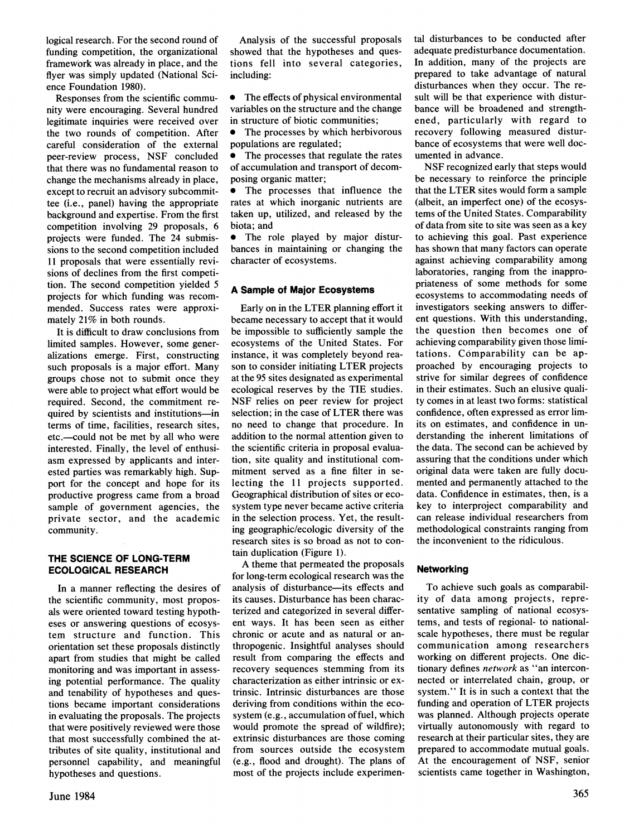**logical research. For the second round of funding competition, the organizational framework was already in place, and the flyer was simply updated (National Science Foundation 1980).** 

**Responses from the scientific community were encouraging. Several hundred legitimate inquiries were received over the two rounds of competition. After careful consideration of the external peer-review process, NSF concluded that there was no fundamental reason to change the mechanisms already in place, except to recruit an advisory subcommittee (i.e., panel) having the appropriate background and expertise. From the first competition involving 29 proposals, 6 projects were funded. The 24 submissions to the second competition included 11 proposals that were essentially revisions of declines from the first competition. The second competition yielded 5 projects for which funding was recommended. Success rates were approximately 21% in both rounds.** 

**It is difficult to draw conclusions from limited samples. However, some generalizations emerge. First, constructing such proposals is a major effort. Many groups chose not to submit once they were able to project what effort would be required. Second, the commitment required by scientists and institutions-in terms of time, facilities, research sites, etc.-could not be met by all who were interested. Finally, the level of enthusiasm expressed by applicants and interested parties was remarkably high. Support for the concept and hope for its productive progress came from a broad sample of government agencies, the private sector, and the academic community.** 

# **THE SCIENCE OF LONG-TERM ECOLOGICAL RESEARCH**

**In a manner reflecting the desires of the scientific community, most proposals were oriented toward testing hypotheses or answering questions of ecosystem structure and function. This orientation set these proposals distinctly apart from studies that might be called monitoring and was important in assessing potential performance. The quality and tenability of hypotheses and questions became important considerations in evaluating the proposals. The projects that were positively reviewed were those that most successfully combined the attributes of site quality, institutional and personnel capability, and meaningful hypotheses and questions.** 

**Analysis of the successful proposals showed that the hypotheses and questions fell into several categories, including:** 

**\* The effects of physical environmental variables on the structure and the change in structure of biotic communities;** 

**\* The processes by which herbivorous populations are regulated;** 

**\* The processes that regulate the rates of accumulation and transport of decomposing organic matter;** 

**\* The processes that influence the rates at which inorganic nutrients are taken up, utilized, and released by the biota; and** 

**•** The role played by major distur**bances in maintaining or changing the character of ecosystems.** 

#### **A Sample of Major Ecosystems**

**Early on in the LTER planning effort it became necessary to accept that it would be impossible to sufficiently sample the ecosystems of the United States. For instance, it was completely beyond reason to consider initiating LTER projects at the 95 sites designated as experimental ecological reserves by the TIE studies. NSF relies on peer review for project selection; in the case of LTER there was no need to change that procedure. In addition to the normal attention given to the scientific criteria in proposal evaluation, site quality and institutional commitment served as a fine filter in selecting the 11 projects supported. Geographical distribution of sites or ecosystem type never became active criteria in the selection process. Yet, the resulting geographic/ecologic diversity of the research sites is so broad as not to contain duplication (Figure 1).** 

**A theme that permeated the proposals for long-term ecological research was the analysis of disturbance-its effects and its causes. Disturbance has been characterized and categorized in several different ways. It has been seen as either chronic or acute and as natural or anthropogenic. Insightful analyses should result from comparing the effects and recovery sequences stemming from its characterization as either intrinsic or extrinsic. Intrinsic disturbances are those deriving from conditions within the ecosystem (e.g., accumulation offuel, which would promote the spread of wildfire); extrinsic disturbances are those coming from sources outside the ecosystem (e.g., flood and drought). The plans of most of the projects include experimen-**

**tal disturbances to be conducted after adequate predisturbance documentation. In addition, many of the projects are prepared to take advantage of natural disturbances when they occur. The result will be that experience with disturbance will be broadened and strengthened, particularly with regard to recovery following measured disturbance of ecosystems that were well documented in advance.** 

**NSF recognized early that steps would be necessary to reinforce the principle that the LTER sites would form a sample (albeit, an imperfect one) of the ecosystems of the United States. Comparability of data from site to site was seen as a key to achieving this goal. Past experience has shown that many factors can operate against achieving comparability among laboratories, ranging from the inappropriateness of some methods for some ecosystems to accommodating needs of investigators seeking answers to different questions. With this understanding, the question then becomes one of achieving comparability given those limitations. Comparability can be approached by encouraging projects to strive for similar degrees of confidence in their estimates. Such an elusive quality comes in at least two forms: statistical confidence, often expressed as error limits on estimates, and confidence in understanding the inherent limitations of the data. The second can be achieved by assuring that the conditions under which original data were taken are fully documented and permanently attached to the data. Confidence in estimates, then, is a key to interproject comparability and can release individual researchers from methodological constraints ranging from the inconvenient to the ridiculous.** 

#### **Networking**

**To achieve such goals as comparability of data among projects, representative sampling of national ecosystems, and tests of regional- to nationalscale hypotheses, there must be regular communication among researchers working on different projects. One dictionary defines network as "an interconnected or interrelated chain, group, or system." It is in such a context that the funding and operation of LTER projects was planned. Although projects operate virtually autonomously with regard to research at their particular sites, they are prepared to accommodate mutual goals. At the encouragement of NSF, senior scientists came together in Washington,**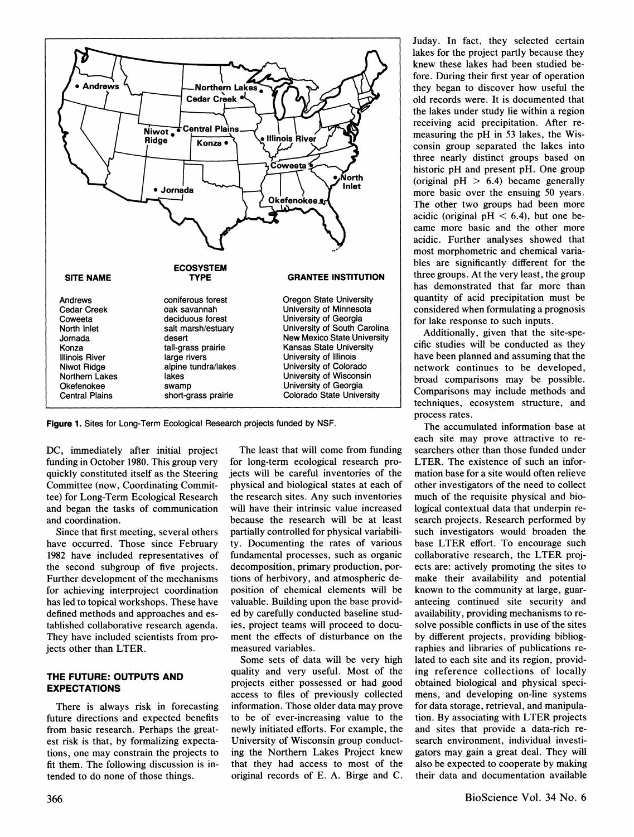

**Figure 1. Sites for Long-Term Ecological Research projects funded by NSF.** 

**DC, immediately after initial project funding in October 1980. This group very quickly constituted itself as the Steering Committee (now, Coordinating Committee) for Long-Term Ecological Research and began the tasks of communication and coordination.** 

**Since that first meeting, several others have occurred. Those since February 1982 have included representatives of the second subgroup of five projects. Further development of the mechanisms for achieving interproject coordination has led to topical workshops. These have defined methods and approaches and established collaborative research agenda. They have included scientists from projects other than LTER.** 

# **THE FUTURE: OUTPUTS AND EXPECTATIONS**

**There is always risk in forecasting future directions and expected benefits from basic research. Perhaps the greatest risk is that, by formalizing expectations, one may constrain the projects to fit them. The following discussion is intended to do none of those things.** 

**The least that will come from funding for long-term ecological research projects will be careful inventories of the physical and biological states at each of the research sites. Any such inventories will have their intrinsic value increased because the research will be at least partially controlled for physical variability. Documenting the rates of various fundamental processes, such as organic decomposition, primary production, portions of herbivory, and atmospheric deposition of chemical elements will be valuable. Building upon the base provided by carefully conducted baseline studies, project teams will proceed to document the effects of disturbance on the measured variables.** 

**Some sets of data will be very high quality and very useful. Most of the projects either possessed or had good access to files of previously collected information. Those older data may prove to be of ever-increasing value to the newly initiated efforts. For example, the University of Wisconsin group conducting the Northern Lakes Project knew that they had access to most of the original records of E. A. Birge and C.** 

**Juday. In fact, they selected certain lakes for the project partly because they knew these lakes had been studied before. During their first year of operation they began to discover how useful the old records were. It is documented that the lakes under study lie within a region receiving acid precipitation. After remeasuring the pH in 53 lakes, the Wisconsin group separated the lakes into three nearly distinct groups based on historic pH and present pH. One group (original pH > 6.4) became generally more basic over the ensuing 50 years. The other two groups had been more**  acidic (original  $pH < 6.4$ ), but one be**came more basic and the other more acidic. Further analyses showed that most morphometric and chemical variables are significantly different for the three groups. At the very least, the group has demonstrated that far more than quantity of acid precipitation must be considered when formulating a prognosis for lake response to such inputs.** 

**Additionally, given that the site-specific studies will be conducted as they have been planned and assuming that the network continues to be developed, broad comparisons may be possible. Comparisons may include methods and techniques, ecosystem structure, and process rates.** 

**The accumulated information base at each site may prove attractive to researchers other than those funded under LTER. The existence of such an information base for a site would often relieve other investigators of the need to collect much of the requisite physical and biological contextual data that underpin research projects. Research performed by such investigators would broaden the base LTER effort. To encourage such collaborative research, the LTER projects are: actively promoting the sites to make their availability and potential known to the community at large, guaranteeing continued site security and availability, providing mechanisms to resolve possible conflicts in use of the sites by different projects, providing bibliographies and libraries of publications related to each site and its region, providing reference collections of locally obtained biological and physical specimens, and developing on-line systems for data storage, retrieval, and manipulation. By associating with LTER projects and sites that provide a data-rich research environment, individual investigators may gain a great deal. They will also be expected to cooperate by making their data and documentation available**